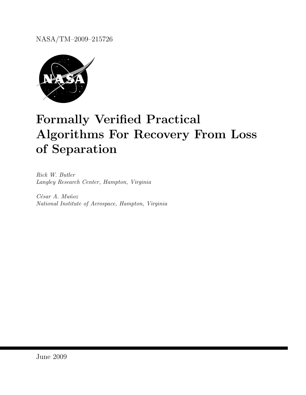NASA/TM–2009–215726



# Formally Verified Practical Algorithms For Recovery From Loss of Separation

Rick W. Butler Langley Research Center, Hampton, Virginia

César A. Muñoz National Institute of Aerospace, Hampton, Virginia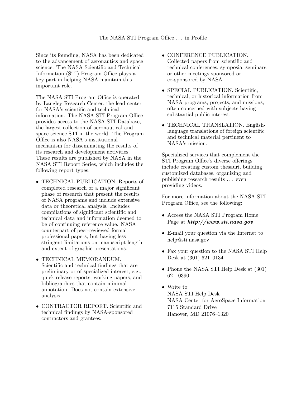Since its founding, NASA has been dedicated to the advancement of aeronautics and space science. The NASA Scientific and Technical Information (STI) Program Office plays a key part in helping NASA maintain this important role.

The NASA STI Program Office is operated by Langley Research Center, the lead center for NASA's scientific and technical information. The NASA STI Program Office provides access to the NASA STI Database, the largest collection of aeronautical and space science STI in the world. The Program Office is also NASA's institutional mechanism for disseminating the results of its research and development activities. These results are published by NASA in the NASA STI Report Series, which includes the following report types:

- TECHNICAL PUBLICATION. Reports of completed research or a major significant phase of research that present the results of NASA programs and include extensive data or theoretical analysis. Includes compilations of significant scientific and technical data and information deemed to be of continuing reference value. NASA counterpart of peer-reviewed formal professional papers, but having less stringent limitations on manuscript length and extent of graphic presentations.
- TECHNICAL MEMORANDUM. Scientific and technical findings that are preliminary or of specialized interest, e.g., quick release reports, working papers, and bibliographies that contain minimal annotation. Does not contain extensive analysis.
- CONTRACTOR REPORT. Scientific and technical findings by NASA-sponsored contractors and grantees.
- CONFERENCE PUBLICATION. Collected papers from scientific and technical conferences, symposia, seminars, or other meetings sponsored or co-sponsored by NASA.
- SPECIAL PUBLICATION. Scientific, technical, or historical information from NASA programs, projects, and missions, often concerned with subjects having substantial public interest.
- TECHNICAL TRANSLATION. Englishlanguage translations of foreign scientific and technical material pertinent to NASA's mission.

Specialized services that complement the STI Program Office's diverse offerings include creating custom thesauri, building customized databases, organizing and publishing research results . . . even providing videos.

For more information about the NASA STI Program Office, see the following:

- Access the NASA STI Program Home Page at http://www.sti.nasa.gov
- E-mail your question via the Internet to help@sti.nasa.gov
- Fax your question to the NASA STI Help Desk at (301) 621–0134
- Phone the NASA STI Help Desk at  $(301)$ 621–0390
- Write to: NASA STI Help Desk NASA Center for AeroSpace Information 7115 Standard Drive Hanover, MD 21076–1320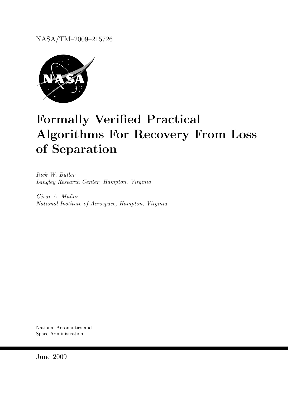NASA/TM–2009–215726



# Formally Verified Practical Algorithms For Recovery From Loss of Separation

Rick W. Butler Langley Research Center, Hampton, Virginia

César A. Muñoz National Institute of Aerospace, Hampton, Virginia

National Aeronautics and Space Administration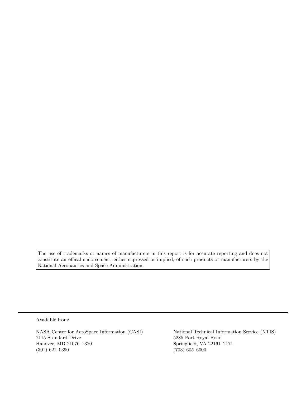The use of trademarks or names of manufacturers in this report is for accurate reporting and does not constitute an offical endorsement, either expressed or implied, of such products or manufacturers by the National Aeronautics and Space Administration.

Available from:

Hanover, MD 21076–1320 Springfield, VA 22161–2171 (301) 621–0390 (703) 605–6000

NASA Center for AeroSpace Information (CASI) National Technical Information Service (NTIS) 5285 Port Royal Road  $(703)$  605–6000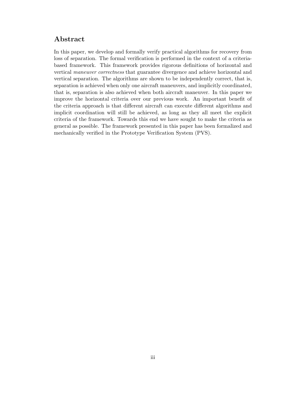# Abstract

In this paper, we develop and formally verify practical algorithms for recovery from loss of separation. The formal verification is performed in the context of a criteriabased framework. This framework provides rigorous definitions of horizontal and vertical maneuver correctness that guarantee divergence and achieve horizontal and vertical separation. The algorithms are shown to be independently correct, that is, separation is achieved when only one aircraft maneuvers, and implicitly coordinated, that is, separation is also achieved when both aircraft maneuver. In this paper we improve the horizontal criteria over our previous work. An important benefit of the criteria approach is that different aircraft can execute different algorithms and implicit coordination will still be achieved, as long as they all meet the explicit criteria of the framework. Towards this end we have sought to make the criteria as general as possible. The framework presented in this paper has been formalized and mechanically verified in the Prototype Verification System (PVS).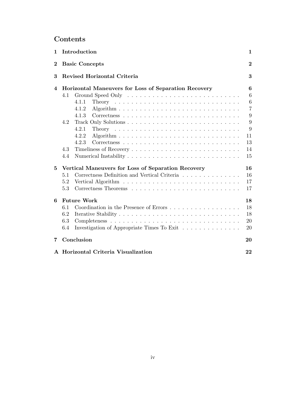# Contents

| 1                                 | Introduction                                                                                         | 1              |  |  |  |  |  |  |  |
|-----------------------------------|------------------------------------------------------------------------------------------------------|----------------|--|--|--|--|--|--|--|
| <b>Basic Concepts</b><br>$\bf{2}$ |                                                                                                      |                |  |  |  |  |  |  |  |
| 3                                 | Revised Horizontal Criteria                                                                          | 3              |  |  |  |  |  |  |  |
| 4                                 | Horizontal Maneuvers for Loss of Separation Recovery<br>4.1                                          |                |  |  |  |  |  |  |  |
|                                   | 4.1.1                                                                                                | 6              |  |  |  |  |  |  |  |
|                                   | 4.1.2                                                                                                | $\overline{7}$ |  |  |  |  |  |  |  |
|                                   | 4.1.3<br>4.2                                                                                         | 9<br>9         |  |  |  |  |  |  |  |
|                                   | 4.2.1                                                                                                | 9              |  |  |  |  |  |  |  |
|                                   | 4.2.2                                                                                                | 11             |  |  |  |  |  |  |  |
|                                   | 4.2.3<br>$Corrections \dots \dots \dots \dots \dots \dots \dots \dots \dots \dots \dots \dots \dots$ | 13             |  |  |  |  |  |  |  |
|                                   | 4.3                                                                                                  | 14             |  |  |  |  |  |  |  |
|                                   | 4.4                                                                                                  | 15             |  |  |  |  |  |  |  |
| 5                                 | Vertical Maneuvers for Loss of Separation Recovery                                                   | 16             |  |  |  |  |  |  |  |
|                                   | Correctness Definition and Vertical Criteria<br>5.1                                                  | 16             |  |  |  |  |  |  |  |
|                                   | 5.2                                                                                                  | 17             |  |  |  |  |  |  |  |
|                                   | 5.3                                                                                                  | 17             |  |  |  |  |  |  |  |
| 6                                 | <b>Future Work</b>                                                                                   | 18             |  |  |  |  |  |  |  |
|                                   | 6.1                                                                                                  | 18             |  |  |  |  |  |  |  |
|                                   | 6.2                                                                                                  | 18             |  |  |  |  |  |  |  |
|                                   | 6.3                                                                                                  | 20             |  |  |  |  |  |  |  |
|                                   | Investigation of Appropriate Times To Exit<br>6.4                                                    | 20             |  |  |  |  |  |  |  |
| 7                                 | Conclusion<br>20                                                                                     |                |  |  |  |  |  |  |  |
|                                   | A Horizontal Criteria Visualization                                                                  | 22             |  |  |  |  |  |  |  |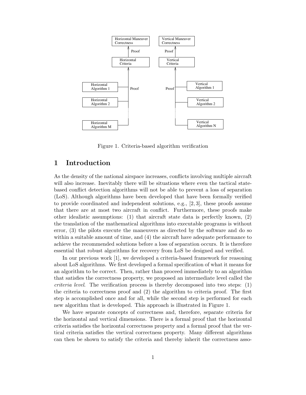

Figure 1. Criteria-based algorithm verification

## 1 Introduction

As the density of the national airspace increases, conflicts involving multiple aircraft will also increase. Inevitably there will be situations where even the tactical statebased conflict detection algorithms will not be able to prevent a loss of separation (LoS). Although algorithms have been developed that have been formally verified to provide coordinated and independent solutions, e.g.,  $[2, 3]$ , these proofs assume that there are at most two aircraft in conflict. Furthermore, these proofs make other idealistic assumptions: (1) that aircraft state data is perfectly known, (2) the translation of the mathematical algorithms into executable programs is without error, (3) the pilots execute the maneuvers as directed by the software and do so within a suitable amount of time, and (4) the aircraft have adequate performance to achieve the recommended solutions before a loss of separation occurs. It is therefore essential that robust algorithms for recovery from LoS be designed and verified.

In our previous work [1], we developed a criteria-based framework for reasoning about LoS algorithms. We first developed a formal specification of what it means for an algorithm to be correct. Then, rather than proceed immediately to an algorithm that satisfies the correctness property, we proposed an intermediate level called the criteria level. The verification process is thereby decomposed into two steps: (1) the criteria to correctness proof and (2) the algorithm to criteria proof. The first step is accomplished once and for all, while the second step is performed for each new algorithm that is developed. This approach is illustrated in Figure 1.

We have separate concepts of correctness and, therefore, separate criteria for the horizontal and vertical dimensions. There is a formal proof that the horizontal criteria satisfies the horizontal correctness property and a formal proof that the vertical criteria satisfies the vertical correctness property. Many different algorithms can then be shown to satisfy the criteria and thereby inherit the correctness asso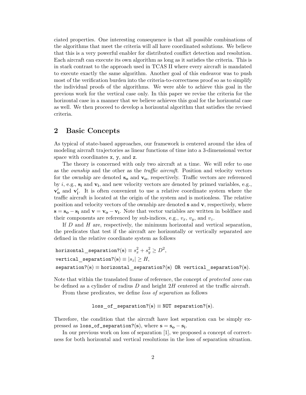ciated properties. One interesting consequence is that all possible combinations of the algorithms that meet the criteria will all have coordinated solutions. We believe that this is a very powerful enabler for distributed conflict detection and resolution. Each aircraft can execute its own algorithm as long as it satisfies the criteria. This is in stark contrast to the approach used in TCAS II where every aircraft is mandated to execute exactly the same algorithm. Another goal of this endeavor was to push most of the verification burden into the criteria-to-correctness proof so as to simplify the individual proofs of the algorithms. We were able to achieve this goal in the previous work for the vertical case only. In this paper we revise the criteria for the horizontal case in a manner that we believe achieves this goal for the horizontal case as well. We then proceed to develop a horizontal algorithm that satisfies the revised criteria.

### 2 Basic Concepts

As typical of state-based approaches, our framework is centered around the idea of modeling aircraft trajectories as linear functions of time into a 3-dimensional vector space with coordinates x, y, and z.

The theory is concerned with only two aircraft at a time. We will refer to one as the ownship and the other as the traffic aircraft. Position and velocity vectors for the ownship are denoted  $s_0$  and  $v_0$ , respectively. Traffic vectors are referenced by  $i$ , e.g.,  $s_i$  and  $v_i$ , and new velocity vectors are denoted by primed variables, e.g.,  $\mathbf{v}'_0$  and  $\mathbf{v}'_1$ . It is often convenient to use a relative coordinate system where the traffic aircraft is located at the origin of the system and is motionless. The relative position and velocity vectors of the ownship are denoted s and v, respectively, where  $\mathbf{s} = \mathbf{s_o} - \mathbf{s_i}$  and  $\mathbf{v} = \mathbf{v_o} - \mathbf{v_i}$ . Note that vector variables are written in boldface and their components are referenced by sub-indices, e.g.,  $v_x$ ,  $v_y$ , and  $v_z$ .

If D and H are, respectively, the minimum horizontal and vertical separation, the predicates that test if the aircraft are horizontally or vertically separated are defined in the relative coordinate system as follows

```
\textrm{horizontal\_separation?}(\mathbf{s}) \equiv s_x^2 + s_y^2 \geq D^2,vertical separation?(s) \equiv |s_z| \geq H,
separation?(s) \equiv horizontal separation?(s) OR vertical separation?(s).
```
Note that within the translated frame of reference, the concept of protected zone can be defined as a cylinder of radius  $D$  and height  $2H$  centered at the traffic aircraft.

From these predicates, we define loss of separation as follows

$$
\texttt{loss\_of\_separation?}(s) \equiv \texttt{NOT}\ \texttt{separation?}(s).
$$

Therefore, the condition that the aircraft have lost separation can be simply expressed as  $loss_of\_separation?(s)$ , where  $s = s_o - s_i$ .

In our previous work on loss of separation [1], we proposed a concept of correctness for both horizontal and vertical resolutions in the loss of separation situation.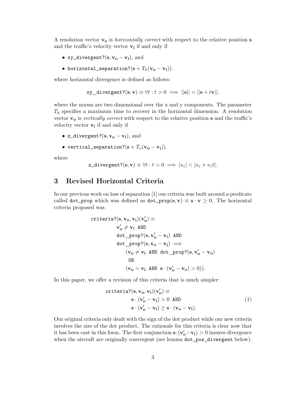A resolution vector  $\mathbf{v}_{o}$  is *horizontally correct* with respect to the relative position **s** and the traffic's velocity vector  $\mathbf{v}_i$  if and only if

- xy\_divergent?( $\mathbf{s}, \mathbf{v_0} \mathbf{v_i}$ ), and
- horizontal\_separation?( $\mathbf{s} + T_h(\mathbf{v_o} \mathbf{v_i})$ ).

where horizontal divergence is defined as follows:

$$
xy\_divergent?(\mathbf{s}, \mathbf{v}) \equiv \forall t : t > 0 \implies ||\mathbf{s}|| < ||\mathbf{s} + t\mathbf{v}||.
$$

where the norms are two dimensional over the x and y components. The parameter  $T_h$  specifies a maximum time to recover in the horizontal dimension. A resolution vector  $v_0$  is vertically correct with respect to the relative position s and the traffic's velocity vector  $\mathbf{v}_i$  if and only if

- z\_divergent?( $s, v_0 v_i$ ), and
- vertical\_separation? $(s + T_v(v_0 v_i)).$

where

 $z$ \_divergent?(s, v)  $\equiv \forall t : t > 0 \implies |s_z| < |s_z + v_z t|.$ 

## 3 Revised Horizontal Criteria

In our previous work on loss of separation [1] our criteria was built around a predicate called dot\_prop which was defined as  $dot\_prop(s, v) \equiv s \cdot v \geq 0$ . The horizontal criteria proposed was

$$
\begin{aligned} \text{criterion?}(s, \mathbf{v_o}, \mathbf{v_i})(\mathbf{v_o'}) &\equiv \\ & \mathbf{v_o'} \neq \mathbf{v_i} \text{ AND} \\ & \text{dot\_prop?}(s, \mathbf{v_o'} - \mathbf{v_i}) \text{ AND} \\ & \text{dot\_prop?}(s, \mathbf{v_o} - \mathbf{v_i}) \implies \\ & (\mathbf{v_o} \neq \mathbf{v_i} \text{ AND dot\_prop?}(s, \mathbf{v_o'} - \mathbf{v_o}) \\ & \text{OR} \\ & (\mathbf{v_o} = \mathbf{v_i} \text{ AND } \mathbf{s} \cdot (\mathbf{v_o'} - \mathbf{v_o}) > 0)). \end{aligned}
$$

In this paper, we offer a revision of this criteria that is much simpler:

$$
\begin{aligned} \text{criterion?}(s, v_o, v_i)(v_o') &\equiv\\ s \cdot (v_o' - v_i) > 0 \text{ AND} \\ s \cdot (v_o' - v_i) > s \cdot (v_o - v_i). \end{aligned} \tag{1}
$$

Our original criteria only dealt with the sign of the dot product while our new criteria involves the size of the dot product. The rationale for this criteria is clear now that it has been cast in this form. The first conjunction  $s \cdot (v'_o - v_i) > 0$  insures divergence when the aircraft are originally convergent (see lemma  $dot\_pos\_divergent$  below).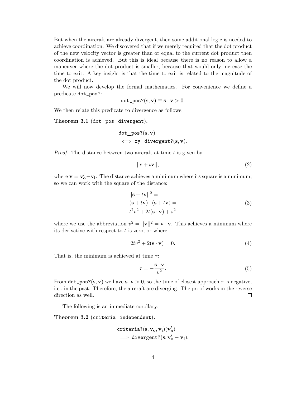But when the aircraft are already divergent, then some additional logic is needed to achieve coordination. We discovered that if we merely required that the dot product of the new velocity vector is greater than or equal to the current dot product then coordination is achieved. But this is ideal because there is no reason to allow a maneuver where the dot product is smaller, because that would only increase the time to exit. A key insight is that the time to exit is related to the magnitude of the dot product.

We will now develop the formal mathematics. For convenience we define a predicate dot\_pos?:

$$
\texttt{dot\_pos?}(s, v) \equiv s \cdot v > 0.
$$

We then relate this predicate to divergence as follows:

Theorem 3.1 (dot\_pos\_divergent).

$$
\begin{aligned}\n\text{dot\_pos?}(s, v) &\iff xy\_divergent?(s, v).\n\end{aligned}
$$

*Proof.* The distance between two aircraft at time  $t$  is given by

$$
||\mathbf{s} + t\mathbf{v}||, \tag{2}
$$

where  $\mathbf{v} = \mathbf{v}'_0 - \mathbf{v}_i$ . The distance achieves a minimum where its square is a minimum, so we can work with the square of the distance:

$$
||\mathbf{s} + t\mathbf{v}||^2 =
$$
  
\n
$$
(\mathbf{s} + t\mathbf{v}) \cdot (\mathbf{s} + t\mathbf{v}) =
$$
  
\n
$$
t^2v^2 + 2t(\mathbf{s} \cdot \mathbf{v}) + s^2
$$
\n(3)

where we use the abbreviation  $v^2 = ||\mathbf{v}||^2 = \mathbf{v} \cdot \mathbf{v}$ . This achieves a minimum where its derivative with respect to  $t$  is zero, or where

$$
2tv^2 + 2(\mathbf{s} \cdot \mathbf{v}) = 0. \tag{4}
$$

That is, the minimum is achieved at time  $\tau$ :

$$
\tau = -\frac{\mathbf{s} \cdot \mathbf{v}}{v^2}.\tag{5}
$$

From  $\text{dot}$ -pos?(s, v) we have  $s \cdot v > 0$ , so the time of closest approach  $\tau$  is negative, i.e., in the past. Therefore, the aircraft are diverging. The proof works in the reverse direction as well.  $\Box$ 

The following is an immediate corollary:

#### Theorem 3.2 (criteria independent).

$$
\begin{aligned} &\text{criterion?}(s, \mathbf{v_o}, \mathbf{v_i})(\mathbf{v_o'}) \\ &\implies \text{divergent?}(s, \mathbf{v_o'} - \mathbf{v_i}). \end{aligned}
$$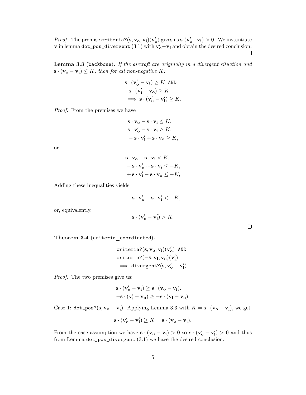*Proof.* The premise criteria?(s,  $\mathbf{v_o}, \mathbf{v_i}$ )( $\mathbf{v_o'}$ ) gives us  $\mathbf{s} \cdot (\mathbf{v_o'} - \mathbf{v_i}) > 0$ . We instantiate v in lemma dot\_pos\_divergent (3.1) with  $v'_o - v_i$  and obtain the desired conclusion.  $\Box$ 

Lemma 3.3 (backbone). If the aircraft are originally in a divergent situation and  $\mathbf{s} \cdot (\mathbf{v_o} - \mathbf{v_i}) \leq K$ , then for all non-negative K:

$$
\mathbf{s} \cdot (\mathbf{v'_o} - \mathbf{v_i}) \ge K \text{ AND}
$$
  
\n
$$
-\mathbf{s} \cdot (\mathbf{v'_i} - \mathbf{v_o}) \ge K
$$
  
\n
$$
\implies \mathbf{s} \cdot (\mathbf{v'_o} - \mathbf{v'_i}) \ge K.
$$

Proof. From the premises we have

$$
\begin{aligned} \n\mathbf{s} \cdot \mathbf{v_o} - \mathbf{s} \cdot \mathbf{v_i} &\le K, \\ \n\mathbf{s} \cdot \mathbf{v_o'} - \mathbf{s} \cdot \mathbf{v_i} &\ge K, \\ \n-\mathbf{s} \cdot \mathbf{v_i'} + \mathbf{s} \cdot \mathbf{v_o} &\ge K, \n\end{aligned}
$$

or

$$
\begin{aligned} \n\mathbf{s} \cdot \mathbf{v_0} - \mathbf{s} \cdot \mathbf{v_i} < K, \\ \n-\mathbf{s} \cdot \mathbf{v_0'} + \mathbf{s} \cdot \mathbf{v_i} < -K, \\ \n+\mathbf{s} \cdot \mathbf{v_i'} - \mathbf{s} \cdot \mathbf{v_0} < -K, \n\end{aligned}
$$

Adding these inequalities yields:

$$
-\mathbf{s} \cdot \mathbf{v_o'} + \mathbf{s} \cdot \mathbf{v_i'} < -K,
$$

or, equivalently,

$$
\mathbf{s} \cdot (\mathbf{v_o'} - \mathbf{v_i'}) > K.
$$

Theorem 3.4 (criteria coordinated).

$$
\begin{aligned} &\text{criterion?}(s, \mathbf{v_o}, \mathbf{v_i})(\mathbf{v_o'}) \text{ AND} \\ &\text{criterion?}(-s, \mathbf{v_i}, \mathbf{v_o})(\mathbf{v_i'}) \\ &\implies \text{divergent?}(s, \mathbf{v_o'} - \mathbf{v_i'}). \end{aligned}
$$

Proof. The two premises give us:

$$
\begin{aligned} s \cdot (v_o' - v_i) &\geq s \cdot (v_o - v_i). \\ -s \cdot (v_i' - v_o) &\geq -s \cdot (v_i - v_o). \end{aligned}
$$

Case 1: dot\_pos?(s,  $v_o - v_i$ ). Applying Lemma 3.3 with  $K = s \cdot (v_o - v_i)$ , we get

$$
\mathbf{s} \cdot (\mathbf{v_o'} - \mathbf{v_i'}) \geq K = \mathbf{s} \cdot (\mathbf{v_o} - \mathbf{v_i}).
$$

From the case assumption we have  $\mathbf{s} \cdot (\mathbf{v}_o - \mathbf{v}_i) > 0$  so  $\mathbf{s} \cdot (\mathbf{v}_o' - \mathbf{v}_i') > 0$  and thus from Lemma dot\_pos\_divergent (3.1) we have the desired conclusion.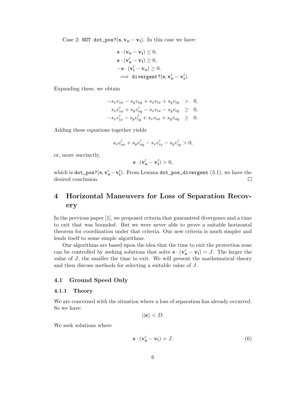Case 2: NOT dot\_pos?( $s, v_0 - v_i$ ). In this case we have:

$$
\begin{aligned} &\mathbf{s} \cdot (\mathbf{v_o} - \mathbf{v_i}) \leq 0, \\ &\mathbf{s} \cdot (\mathbf{v_o'} - \mathbf{v_i}) \geq 0, \\ &-\mathbf{s} \cdot (\mathbf{v_i'} - \mathbf{v_o}) \geq 0. \\ &\implies \text{divergent?}(\mathbf{s}, \mathbf{v_o'} - \mathbf{v_i'}). \end{aligned}
$$

Expanding these, we obtain

$$
-s_xv_{ox} - s_yv_{oy} + s_xv_{ix} + s_yv_{iy} > 0,
$$
  
\n
$$
s_xv'_{ox} + s_yv'_{oy} - s_xv_{ix} - s_yv_{iy} \ge 0,
$$
  
\n
$$
-s_xv'_{ix} - s_yv'_{iy} + s_xv_{ox} + s_yv_{oy} \ge 0.
$$

Adding these equations together yields

$$
s_xv'_{ox} + s_yv'_{oy} - s_xv'_{ix} - s_yv'_{iy} > 0,
$$

or, more succinctly,

$$
\mathbf{s} \cdot (\mathbf{v_o'} - \mathbf{v_i'}) > 0,
$$

which is  $\texttt{dot\_pos?(s}, \mathbf{v'_o} - \mathbf{v'_i})$ . From Lemma  $\texttt{dot\_pos\_divergent}$  (3.1), we have the desired conclusion.  $\Box$ 

# 4 Horizontal Maneuvers for Loss of Separation Recovery

In the previous paper [1], we proposed criteria that guaranteed divergence and a time to exit that was bounded. But we were never able to prove a suitable horizontal theorem for coordination under that criteria. Our new criteria is much simpler and lends itself to some simple algorithms.

Our algorithms are based upon the idea that the time to exit the protection zone can be controlled by seeking solutions that solve  $\mathbf{s} \cdot (\mathbf{v}_0' - \mathbf{v}_i) = J$ . The larger the value of  $J$ , the smaller the time to exit. We will present the mathematical theory and then discuss methods for selecting a suitable value of J.

#### 4.1 Ground Speed Only

#### 4.1.1 Theory

We are concerned with the situation where a loss of separation has already occurred. So we have:

$$
||\mathbf{s}|| < D
$$

We seek solutions where

$$
\mathbf{s} \cdot (\mathbf{v_o'} - \mathbf{v_i}) = J. \tag{6}
$$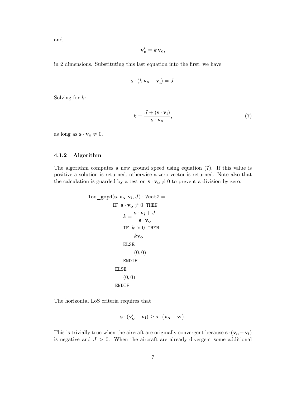and

$$
\mathbf{v_o'} = k \, \mathbf{v_o},
$$

in 2 dimensions. Substituting this last equation into the first, we have

$$
\mathbf{s} \cdot (k \, \mathbf{v_o} - \mathbf{v_i}) = J.
$$

Solving for  $k$ :

$$
k = \frac{J + (\mathbf{s} \cdot \mathbf{v_i})}{\mathbf{s} \cdot \mathbf{v_o}},\tag{7}
$$

as long as  $\mathbf{s} \cdot \mathbf{v_o} \neq 0$ .

#### 4.1.2 Algorithm

The algorithm computes a new ground speed using equation (7). If this value is positive a solution is returned, otherwise a zero vector is returned. Note also that the calculation is guarded by a test on  $\mathbf{s}\cdot \mathbf{v_o}\neq 0$  to prevent a division by zero.

$$
\begin{aligned}\n\text{los\_gspd(s, v_o, v_i, }J): \text{Vect2} = \\
&\text{IF } \mathbf{s} \cdot \mathbf{v_o} \neq 0 \text{ THEN} \\
&\quad k = \frac{\mathbf{s} \cdot \mathbf{v_i} + J}{\mathbf{s} \cdot \mathbf{v_o}} \\
&\text{IF } k > 0 \text{ THEN} \\
&\quad k\mathbf{v_o} \\
\text{ELSE} \\
&\quad (0,0) \\
&\text{ENDIF} \\
\text{ELSE} \\
&\quad (0,0) \\
\text{ENDIF} \\
\text{EDDF}\n\end{aligned}
$$

The horizontal LoS criteria requires that

$$
s\cdot (v'_o-v_i)\geq s\cdot (v_o-v_i).
$$

This is trivially true when the aircraft are originally convergent because  $s \cdot (v_0 - v_i)$ is negative and  $J > 0$ . When the aircraft are already divergent some additional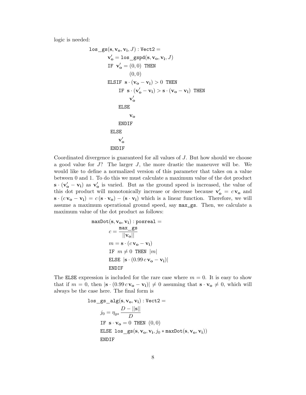logic is needed:

$$
los\_gs(s, \mathbf{v_o}, \mathbf{v_i}, J) : \text{Vect2} = \mathbf{v_o'} = \text{los\_gspd}(s, \mathbf{v_o}, \mathbf{v_i}, J)
$$
\n
$$
IF \ \mathbf{v_o'} = (0, 0) \ \text{THEN}
$$
\n
$$
(0, 0)
$$
\n
$$
ELSIF \ \mathbf{s} \cdot (\mathbf{v_o} - \mathbf{v_i}) > 0 \ \text{THEN}
$$
\n
$$
IF \ \mathbf{s} \cdot (\mathbf{v_o'} - \mathbf{v_i}) > \mathbf{s} \cdot (\mathbf{v_o} - \mathbf{v_i}) \ \text{THEN}
$$
\n
$$
\mathbf{v_o'}
$$
\n
$$
EUSE
$$
\n
$$
\mathbf{v_o}
$$
\n
$$
ENDIF
$$
\n
$$
ELSE
$$
\n
$$
\mathbf{v_o'}
$$
\n
$$
ENDIF
$$

Coordinated divergence is guaranteed for all values of J. But how should we choose a good value for  $J$ ? The larger  $J$ , the more drastic the maneuver will be. We would like to define a normalized version of this parameter that takes on a value between 0 and 1. To do this we must calculate a maximum value of the dot product  $s \cdot (v'_o - v_i)$  as  $v'_o$  is varied. But as the ground speed is increased, the value of this dot product will monotonically increase or decrease because  $\mathbf{v}'_0 = c \mathbf{v}_0$  and  $\mathbf{s} \cdot (c \mathbf{v}_0 - \mathbf{v}_i) = c (\mathbf{s} \cdot \mathbf{v}_0) - (\mathbf{s} \cdot \mathbf{v}_i)$  which is a linear function. Therefore, we will assume a maximum operational ground speed, say max\_gs. Then, we calculate a maximum value of the dot product as follows:

$$
\begin{aligned} \texttt{maxDot}(\mathbf{s}, \mathbf{v_o}, \mathbf{v_i}) : \texttt{posreal} = \\ c &= \frac{\texttt{max\_gs}}{||\mathbf{v_o}||} \\ m &= \mathbf{s} \cdot (c \mathbf{v_o} - \mathbf{v_i}) \\ \texttt{IF } m \neq 0 \texttt{ THEN } |m| \\ \texttt{ELSE } |\mathbf{s} \cdot (0.99 \, c \mathbf{v_o} - \mathbf{v_i})| \\ \texttt{ENDIF} \end{aligned}
$$

The ELSE expression is included for the rare case where  $m = 0$ . It is easy to show that if  $m = 0$ , then  $|\mathbf{s} \cdot (0.99 c \mathbf{v_o} - \mathbf{v_i})| \neq 0$  assuming that  $\mathbf{s} \cdot \mathbf{v_o} \neq 0$ , which will always be the case here. The final form is

$$
\begin{aligned} &\texttt{los\_gs\_alg(s, v_o, v_i): Vect2=} \\ &\begin{aligned} j_0 = \eta_{gs} \frac{D - ||\mathbf{s}||}{D} \\ &\texttt{IF s} \cdot \mathbf{v_o} = 0 \texttt{ THEN } (0,0) \\ &\texttt{ELSE los\_gs(s, v_o, v_i, j_0 * maxDot(s, v_o, v_i))} \\ &\texttt{ENDIF} \end{aligned} \end{aligned}
$$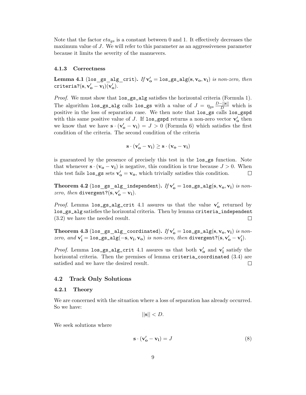Note that the factor  $eta_{gs}$  is a constant between 0 and 1. It effectively decreases the maximum value of J. We will refer to this parameter as an aggressiveness parameter because it limits the severity of the manuevers.

#### 4.1.3 Correctness

Lemma 4.1  $(\text{los\_gs\_alg\_crit}).$   $\it If$   $\mathbf{v'_o} = \text{los\_gs\_alg(s, v_o, v_i)}$  is non-zero, then  ${\tt criteria?}({\mathbf{s}}, {\mathbf{v}}'_{{\mathbf{o}}}-{\mathbf{v}}_{{\mathbf{i}}})({\mathbf{v}}'_{{\mathbf{o}}}).$ 

Proof. We must show that  $\log_{\text{gs-alg}}$  satisfies the horizontal criteria (Formula 1). The algorithm  $\log_{10} s = \log_{10} s$  and  $\log_{10} s$  with a value of  $J = \eta_{gs} \frac{D - ||s||}{D}$  which is positive in the loss of separation case. We then note that los\_gs calls los\_gspd with this same positive value of J. If  $\log_{2}S_{\text{Spd}}$  returns a non-zero vector  $\mathbf{v}'_{\text{o}}$  then we know that we have  $\mathbf{s} \cdot (\mathbf{v}_0' - \mathbf{v}_i) = J > 0$  (Formula 6) which satisfies the first condition of the criteria. The second condition of the criteria

$$
\mathbf{s} \cdot (\mathbf{v}_o' - \mathbf{v}_i) \geq \mathbf{s} \cdot (\mathbf{v}_o - \mathbf{v}_i)
$$

is guaranteed by the presence of precisely this test in the los\_gs function. Note that whenever  $s \cdot (\mathbf{v_o} - \mathbf{v_i})$  is negative, this condition is true because  $J > 0$ . When this test fails  $\log_{-}g s$  sets  $v'_{o} = v_{o}$ , which trivially satisfies this condition.  $\Box$ 

 $\bf Theorem~4.2~(los\_gs\_alg\_independent).$   $\it If$   ${\bf v_o'} = {\tt los\_gs\_alg(s, v_o, v_i)}$  is nonzero, then divergent? $(s, v'_o - v_i)$ .

*Proof.* Lemma  $\log_{s} = \log_{s}$  is 4.1 assures us that the value  $v'_{o}$  returned by los\_gs\_alg satisfies the horizontal criteria. Then by lemma criteria\_independent (3.2) we have the needed result.  $\Box$ 

 $\bf Theorem~4.3~(los\_gs\_alg\_coordinates).$   $\it If$   ${\bf v_o'}={\tt los\_gs\_alg(s, v_o, v_i)}$  is nonzero, and  $\mathbf{v}'_i = \texttt{los\_gs\_alg}(-\mathbf{s}, \mathbf{v}_i, \mathbf{v}_o)$  is non-zero, then divergent? $(\mathbf{s}, \mathbf{v}'_o - \mathbf{v}'_i)$ .

*Proof.* Lemma  $\log_{s} = \log_{s} = 1$  assures us that both  $v'_{o}$  and  $v'_{i}$  satisfy the horizontal criteria. Then the premises of lemma criteria\_coordinated (3.4) are satisfied and we have the desired result.  $\Box$ 

#### 4.2 Track Only Solutions

#### 4.2.1 Theory

We are concerned with the situation where a loss of separation has already occurred. So we have:

$$
||\mathbf{s}|| < D.
$$

We seek solutions where

$$
\mathbf{s} \cdot (\mathbf{v_o'} - \mathbf{v_i}) = J \tag{8}
$$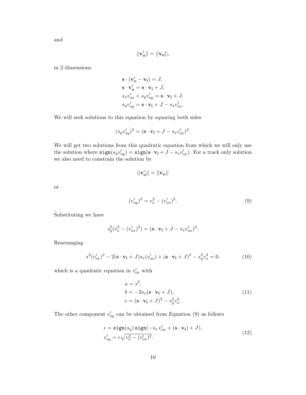and

$$
||\mathbf{v_o'}||=||\mathbf{v_o}||,
$$

in 2 dimensions.

$$
s \cdot (v'_o - v_i) = J,
$$
  
\n
$$
s \cdot v'_o = s \cdot v_i + J,
$$
  
\n
$$
s_x v'_{ox} + s_y v'_{oy} = s \cdot v_i + J,
$$
  
\n
$$
s_y v'_{oy} = s \cdot v_i + J - s_x v'_{ox}.
$$

We will seek solutions to this equation by squaring both sides

$$
(s_yv'_{oy})^2 = (\mathbf{s} \cdot \mathbf{v_i} + J - s_xv'_{ox})^2.
$$

We will get two solutions from this quadratic equation from which we will only use the solution where  $\texttt{sign}(s_yv_{oy}') = \texttt{sign}(\mathbf{s} \cdot \mathbf{v_i} + J - s_xv_{ox}')$ . For a track only solution we also need to constrain the solution by

$$
||\mathbf{v_o}'||=||\mathbf{v_o}||
$$

or

$$
(v'_{oy})^2 = v_o^2 - (v'_{ox})^2.
$$
\n(9)

Substituting we have

$$
s_y^2(v_o^2 - (v_{ox}')^2) = (\mathbf{s} \cdot \mathbf{v_i} + J - s_x v_{ox}')^2.
$$

Rearranging

$$
s^{2}(v'_{ox})^{2} - 2(\mathbf{s} \cdot \mathbf{v}_{i} + J)s_{x}(v'_{ox}) + (\mathbf{s} \cdot \mathbf{v}_{i} + J)^{2} - s_{y}^{2}v_{o}^{2} = 0.
$$
 (10)

which is a quadratic equation in  $v'_{ox}$  with

$$
a = s2,\nb = -2sx(s · vi + J),\nc = (s · vi + J)2 - sy2vo2.
$$
\n(11)

The other component  $v'_{oy}$  can be obtained from Equation (9) as follows

$$
\epsilon = \text{sign}(s_y) \text{ sign}(-s_x v'_{ox} + (\mathbf{s} \cdot \mathbf{v}_i) + J),
$$
  

$$
v'_{oy} = \epsilon \sqrt{v_o^2 - (v'_{ox})^2}.
$$
 (12)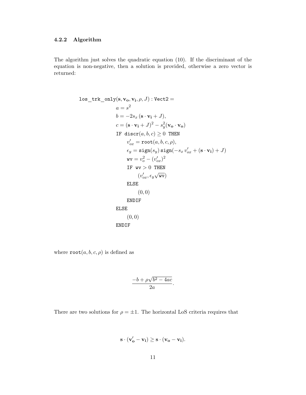#### 4.2.2 Algorithm

The algorithm just solves the quadratic equation (10). If the discriminant of the equation is non-negative, then a solution is provided, otherwise a zero vector is returned:

$$
loss\_trk\_only(s, \mathbf{v_o}, \mathbf{v_i}, \rho, J) : \text{Vect2} =
$$
\n
$$
a = s^2
$$
\n
$$
b = -2s_x (s \cdot \mathbf{v_i} + J),
$$
\n
$$
c = (s \cdot \mathbf{v_i} + J)^2 - s_y^2 (\mathbf{v_o} \cdot \mathbf{v_o})
$$
\n
$$
\text{IF } \text{discr}(a, b, c) \ge 0 \text{ THEN}
$$
\n
$$
v_{ox}' = \text{root}(a, b, c, \rho),
$$
\n
$$
\epsilon_y = \text{sign}(s_y) \text{ sign}(-s_x v_{ox}' + (s \cdot \mathbf{v_i}) + J)
$$
\n
$$
\text{wv} = v_o^2 - (v_{ox}')^2
$$
\n
$$
\text{IF } \text{wv} > 0 \text{ THEN}
$$
\n
$$
(v_{ox}', \epsilon_y \sqrt{\text{wv}})
$$
\n
$$
\text{ELSE}
$$
\n
$$
(0, 0)
$$
\n
$$
\text{ENDIF}
$$
\n
$$
\text{ELSE}
$$
\n
$$
(0, 0)
$$
\n
$$
\text{ENDIF}
$$

where  $\texttt{root}(a, b, c, \rho)$  is defined as

$$
\frac{-b+\rho\sqrt{b^2-4ac}}{2a}.
$$

There are two solutions for  $\rho = \pm 1$ . The horizontal LoS criteria requires that

$$
\mathbf{s} \cdot (\mathbf{v_o'} - \mathbf{v_i}) \geq \mathbf{s} \cdot (\mathbf{v_o} - \mathbf{v_i}).
$$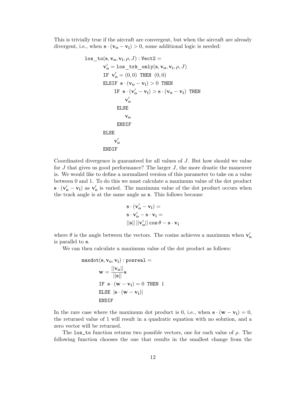This is trivially true if the aircraft are convergent, but when the aircraft are already divergent, i.e., when  $\mathbf{s} \cdot (\mathbf{v}_o - \mathbf{v}_i) > 0$ , some additional logic is needed:

$$
\begin{aligned}\n\text{los\_to(s, v_o, v_i, \rho, J)}: \text{Vect2} &= \\
& \mathbf{v'_o} &= \text{los\_trk\_only(s, v_o, v_i, \rho, J)} \\
& \text{IF } \mathbf{v'_o} &= (0, 0) \text{ THEN } (0, 0) \\
& \text{ELSIF } \mathbf{s} \cdot (\mathbf{v_o} - \mathbf{v_i}) > 0 \text{ THEN } \\
& \text{IF } \mathbf{s} \cdot (\mathbf{v'_o} - \mathbf{v_i}) > \mathbf{s} \cdot (\mathbf{v_o} - \mathbf{v_i}) \text{ THEN } \\
& \mathbf{v'_o} \\
& \text{EUSE} \\
& \mathbf{v'_o} \\
\text{ENDIF} \\
\text{ELSE} \\
& \mathbf{v'_o} \\
\text{ENDIF} \\
\text{ELSE}\n\end{aligned}
$$

Coordinated divergence is guaranteed for all values of J. But how should we value for  $J$  that gives us good performance? The larger  $J$ , the more drastic the maneuver is. We would like to define a normalized version of this parameter to take on a value between 0 and 1. To do this we must calculate a maximum value of the dot product  $\mathbf{s} \cdot (\mathbf{v}'_o - \mathbf{v}_i)$  as  $\mathbf{v}'_o$  is varied. The maximum value of the dot product occurs when the track angle is at the same angle as s. This follows because

$$
s \cdot (v'_{o} - v_{i}) =
$$
  
\n
$$
s \cdot v'_{o} - s \cdot v_{i} =
$$
  
\n
$$
||s|| ||v'_{o}|| \cos \theta - s \cdot v_{i}
$$

where  $\theta$  is the angle between the vectors. The cosine achieves a maximum when  $\mathbf{v}'_{\mathbf{o}}$ is parallel to s.

We can then calculate a maximum value of the dot product as follows:

$$
\begin{aligned} \texttt{maxdot}(\mathbf{s}, \mathbf{v_o}, \mathbf{v_i}) : \texttt{posreal} = \\ \mathbf{w} &= \frac{||\mathbf{v_o}||}{||\mathbf{s}||} \mathbf{s} \\ \texttt{IF } \mathbf{s} \cdot (\mathbf{w} - \mathbf{v_i}) &= 0 \texttt{ THEN } 1 \\ \texttt{ELSE } |\mathbf{s} \cdot (\mathbf{w} - \mathbf{v_i})| \\ \texttt{ENDIF} \end{aligned}
$$

In the rare case where the maximum dot product is 0, i.e., when  $\mathbf{s} \cdot (\mathbf{w} - \mathbf{v_i}) = 0$ , the returned value of 1 will result in a quadratic equation with no solution, and a zero vector will be returned.

The los\_to function returns two possible vectors, one for each value of  $\rho$ . The following function chooses the one that results in the smallest change from the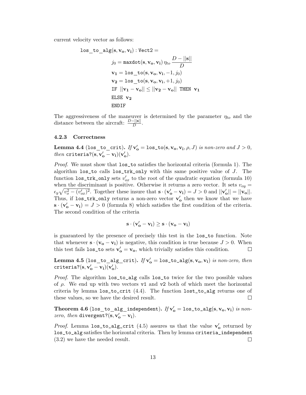current velocity vector as follows:

$$
\begin{aligned} \texttt{los\_to\_alg(s, v_o, v_i)} : \texttt{Vect2} = \\ & j_0 = \texttt{maxdot(s, v_o, v_i)} \, \eta_{to} \, \frac{D - ||\mathbf{s}||}{D} \\ & \mathbf{v_1} = \texttt{los\_to(s, v_o, v_i, -1, j_0)} \\ & \mathbf{v_2} = \texttt{los\_to(s, v_o, v_i, +1, j_0)} \\ & \texttt{IF} \, ||\mathbf{v_1} - \mathbf{v_o}|| \le ||\mathbf{v_2} - \mathbf{v_o}|| \texttt{ THEN } \mathbf{v_1} \\ & \texttt{ELSE } \mathbf{v_2} \\ & \texttt{ENDIF} \end{aligned}
$$

The aggressiveness of the maneuver is determined by the parameter  $\eta_{to}$  and the distance between the aircraft:  $\frac{D-||\mathbf{s}||}{D}$ .

#### 4.2.3 Correctness

**Lemma 4.4** (los\_to\_crit). If  $v'_o = \text{los\_to}(s, v_o, v_i, \rho, J)$  is non-zero and  $J > 0$ ,  $then \ \mathtt{criterion?}(s, v'_o - v_i)(v'_o).$ 

Proof. We must show that  $\log_{10}$  satisfies the horizontal criteria (formula 1). The algorithm  $\log_{10}$  calls  $\log_{10}$  the  $\log_{10}$  with this same positive value of J. The function  $\texttt{los\_trk\_only}$  sets  $v'_{ox}$  to the root of the quadratic equation (formula 10) when the discriminant is positive. Otherwise it returns a zero vector. It sets  $v_{oy} =$  $\epsilon_y \sqrt{v_o^2 - (v'_{ox})^2}$ . Together these insure that  $\mathbf{s} \cdot (\mathbf{v_o'} - \mathbf{v_i}) = J > 0$  and  $||\mathbf{v_o'}|| = ||\mathbf{v_o}||$ . Thus, if  $\log_{\text{trk\_only}}$  returns a non-zero vector  $\mathbf{v}'_o$  then we know that we have  $\mathbf{s} \cdot (\mathbf{v}'_0 - \mathbf{v}_i) = J > 0$  (formula 8) which satisfies the first condition of the criteria. The second condition of the criteria

$$
s\cdot (v_o'-v_i)\geq s\cdot (v_o-v_i)
$$

is guaranteed by the presence of precisely this test in the los\_to function. Note that whenever  $\mathbf{s} \cdot (\mathbf{v_o} - \mathbf{v_i})$  is negative, this condition is true because  $J > 0$ . When this test fails  $\log_2$  to sets  $v'_0 = v_0$ , which trivially satisfies this condition.  $\Box$ 

Lemma 4.5 (los\_to\_alg\_crit). If  $v'_o = \text{los\_to\_alg}(s, v_o, v_i)$  is non-zero, then  ${\tt criteria?}({\mathbf{s}}, {\mathbf{v}}'_{{\mathbf{o}}}-{\mathbf{v}}_{{\mathbf{i}}})({\mathbf{v}}'_{{\mathbf{o}}}).$ 

Proof. The algorithm  $\log_{10} \text{calg}$  calls  $\log_{10} \text{to twice}$  for the two possible values of  $\rho$ . We end up with two vectors v1 and v2 both of which meet the horizontal criteria by lemma  $\text{los\_to\_crit}$  (4.4). The function  $\text{lost\_to\_alg}$  returns one of these values, so we have the desired result. П

Theorem  ${\bf 4.6}~({\tt los\_to\_alg\_independent}).$   ${\it If}~{\bf v_o'}={\tt los\_to\_alg(s, v_o, v_i)}~is~non$ zero, then divergent? $(s, v'_o - v_i)$ .

*Proof.* Lemma  $\log_{10} \text{cos}\left(\frac{4.5}{10}\right)$  assures us that the value  $v'_{o}$  returned by los\_to\_alg satisfies the horizontal criteria. Then by lemma criteria\_independent (3.2) we have the needed result.  $\Box$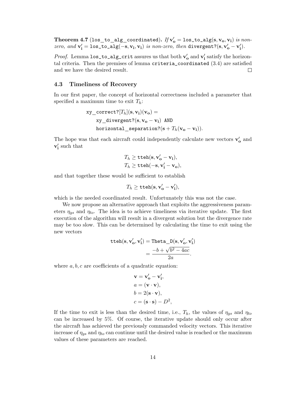$\bf Theorem~4.7~(los\_to\_alg\_coordinates).$   $\it If$   ${\bf v_o'} = {\tt los\_to\_alg(s, v_o, v_i)}$  is nonzero, and  $v'_i = \texttt{los\_to\_alg}(-s, v_i, v_i)$  is non-zero, then divergent? $(s, v'_o - v'_i)$ .

*Proof.* Lemma  $\log_{10} \text{log\_crit}$  assures us that both  $\mathbf{v}'_0$  and  $\mathbf{v}'_1$  satisfy the horizontal criteria. Then the premises of lemma criteria\_coordinated (3.4) are satisfied and we have the desired result.  $\Box$ 

#### 4.3 Timeliness of Recovery

In our first paper, the concept of horizontal correctness included a parameter that specified a maximum time to exit  $T_h$ :

$$
\begin{aligned} \texttt{xy\_correct?}[T_h] (\textbf{s}, \textbf{v}_i) (\textbf{v}_o) = \\ \texttt{xy\_divergent?} (\textbf{s}, \textbf{v}_o - \textbf{v}_i) \text{ AND} \\ \texttt{horizontal\_separation?} (\textbf{s} + T_h(\textbf{v}_o - \textbf{v}_i)). \end{aligned}
$$

The hope was that each aircraft could independently calculate new vectors  $\mathbf{v}'_{\mathbf{o}}$  and  $\mathbf{v'_i}$  such that

$$
T_h \geq \mathtt{tteh}(\mathbf{s}, \mathbf{v_o'} - \mathbf{v_i}),
$$
  

$$
T_h \geq \mathtt{tteh}(-\mathbf{s}, \mathbf{v_i'} - \mathbf{v_o}),
$$

and that together these would be sufficient to establish

$$
T_h \geq \mathtt{tteh}(\mathbf{s}, \mathbf{v_o'} - \mathbf{v_i'}),
$$

which is the needed coordinated result. Unfortunately this was not the case.

We now propose an alternative approach that exploits the aggressiveness parameters  $\eta_{gs}$  and  $\eta_{to}$ . The idea is to achieve timeliness via iterative update. The first execution of the algorithm will result in a divergent solution but the divergence rate may be too slow. This can be determined by calculating the time to exit using the new vectors

$$
\begin{aligned} \mathtt{tteh}(\mathbf{s},\mathbf{v}_\mathbf{o}',\mathbf{v}_\mathbf{i}') &= \mathtt{Theta\_D}(\mathbf{s},\mathbf{v}_\mathbf{o}',\mathbf{v}_\mathbf{i}')\\ &= \frac{-b + \sqrt{b^2 - 4ac}}{2a}. \end{aligned}
$$

where  $a, b, c$  are coefficients of a quadratic equation:

$$
\mathbf{v} = \mathbf{v}'_o - \mathbf{v}'_i,
$$
  
\n
$$
a = (\mathbf{v} \cdot \mathbf{v}),
$$
  
\n
$$
b = 2(\mathbf{s} \cdot \mathbf{v}),
$$
  
\n
$$
c = (\mathbf{s} \cdot \mathbf{s}) - D^2,
$$

If the time to exit is less than the desired time, i.e.,  $T_h$ , the values of  $\eta_{gs}$  and  $\eta_{to}$ can be increased by 5%. Of course, the iterative update should only occur after the aircraft has achieved the previously commanded velocity vectors. This iterative increase of  $\eta_{gs}$  and  $\eta_{to}$  can continue until the desired value is reached or the maximum values of these parameters are reached.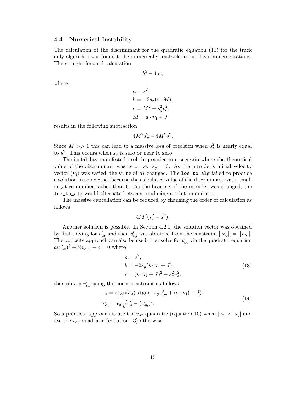#### 4.4 Numerical Instability

The calculation of the discriminant for the quadratic equation (11) for the track only algorithm was found to be numerically unstable in our Java implementations. The straight forward calculation

$$
b^2 - 4ac,
$$

where

$$
a = s2,\n b = -2sx(s · M),\n c = M2 - sy2vo2,\n M = s · vi + J
$$

results in the following subtraction

$$
4M^2s_x^2 - 4M^2s^2.
$$

Since  $M >> 1$  this can lead to a massive loss of precision when  $s_x^2$  is nearly equal to  $s^2$ . This occurs when  $s_y$  is zero or near to zero.

The instability manifested itself in practice in a scenario where the theoretical value of the discriminant was zero, i.e.,  $s_y = 0$ . As the intruder's initial velocity vector  $(v_i)$  was varied, the value of M changed. The los\_to\_alg failed to produce a solution in some cases because the calculated value of the discriminant was a small negative number rather than 0. As the heading of the intruder was changed, the los\_to\_alg would alternate between producing a solution and not.

The massive cancellation can be reduced by changing the order of calculation as follows

$$
4M^2(s_x^2 - s^2).
$$

Another solution is possible. In Section 4.2.1, the solution vector was obtained by first solving for  $v'_{ox}$  and then  $v'_{oy}$  was obtained from the constraint  $||\mathbf{v}'_o|| = ||\mathbf{v}_o||$ . The opposite approach can also be used: first solve for  $v'_{oy}$  via the quadratic equation  $a(v'_{oy})^2 + b(v'_{oy}) + c = 0$  where

$$
a = s2,\nb = -2sy(s · vi + J),\nc = (s · vi + J)2 - sx2vo2,
$$
\n(13)

then obtain  $v'_{ox}$  using the norm constraint as follows

$$
\epsilon_x = \text{sign}(s_x) \text{ sign}(-s_y v'_{oy} + (\mathbf{s} \cdot \mathbf{v_i}) + J),
$$
  

$$
v'_{ox} = \epsilon_x \sqrt{v_o^2 - (v'_{oy})^2}.
$$
 (14)

So a practical approach is use the  $v_{ox}$  quadratic (equation 10) when  $|s_x| < |s_y|$  and use the  $v_{oy}$  quadratic (equation 13) otherwise.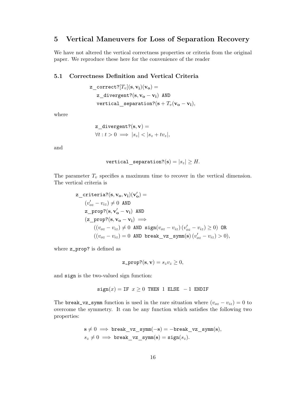# 5 Vertical Maneuvers for Loss of Separation Recovery

We have not altered the vertical correctness properties or criteria from the original paper. We reproduce these here for the convenience of the reader

#### 5.1 Correctness Definition and Vertical Criteria

$$
\begin{aligned} \texttt{z\_correct?}[T_v](s, \mathbf{v_i})(\mathbf{v_o}) & = \\ \texttt{z\_divergent?}(s, \mathbf{v_o} - \mathbf{v_i}) \text{ AND} \\ & \text{vertical\_separation?}(s + T_v(\mathbf{v_o} - \mathbf{v_i}), \end{aligned}
$$

where

$$
\begin{aligned} &\texttt{z\_divergent?}(s, \textbf{v}) = \\ &\forall t: t > 0 \implies |s_z| < |s_z + t v_z|, \end{aligned}
$$

and

$$
{\tt vertical\_separation?}({\bf s}) = |s_z| \geq H.
$$

The parameter  $T_v$  specifies a maximum time to recover in the vertical dimension. The vertical criteria is

z\_criteria?(s, v<sub>o</sub>, v<sub>i</sub>)(v'<sub>o</sub>) =  
\n
$$
(v'_{oz} - v_{iz}) \neq 0
$$
 AND  
\nz\\_prop?(s, v'<sub>o</sub> - v<sub>i</sub>) AND  
\n $(z\_prop?(s, vo - vi) \implies$   
\n $((v_{oz} - v_{iz}) \neq 0$  AND sign $(v_{oz} - v_{iz})$  ( $v'_{oz} - v_{iz}$ )  $\geq 0$ ) OR  
\n $((v_{oz} - v_{iz}) = 0$  AND break\_vz\_symm(s)  $(v'_{oz} - v_{iz}) > 0$ ),

where z\_prop? is defined as

$$
\texttt{z\_prop?}(s, v) = s_z v_z \geq 0,
$$

and sign is the two-valued sign function:

$$
sign(x) = IF \ x \ge 0 \ \text{THEN} \ 1 \ \text{ELSE} \ -1 \ \text{ENDIF}
$$

The break\_vz\_symm function is used in the rare situation where  $(v_{oz} - v_{iz}) = 0$  to overcome the symmetry. It can be any function which satisfies the following two properties:

$$
\begin{aligned} \mathbf{s} \neq 0 & \implies \mathtt{break\_vz\_symm}(-\mathbf{s}) = -\mathtt{break\_vz\_symm}(\mathbf{s}), \\ s_z \neq 0 & \implies \mathtt{break\_vz\_symm}(\mathbf{s}) = \mathtt{sign}(s_z). \end{aligned}
$$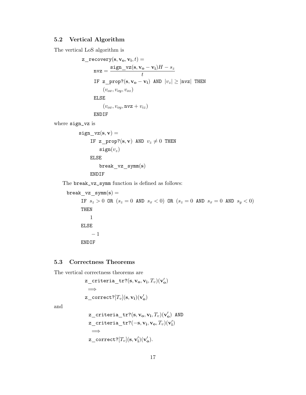### 5.2 Vertical Algorithm

The vertical LoS algorithm is

 $\mathbf{z\_recovery(s, v_o, v_i}, t) =$  ${\tt nvz} = \frac{{\tt sign\_vz(s, v_o - v_i)}H - s_z}$ t IF  $z\_prop?(s, v_0 - v_i)$  AND  $|v_z| \geq |nvz|$  THEN  $(v_{ox}, v_{oy}, v_{oz})$ ELSE  $(v_{ox}, v_{oy}, \texttt{nvz} + v_{iz})$ ENDIF where sign\_vz is  $sign_vz(s, v) =$ 

```
IF z_prop?(s, v) AND v_z \neq 0 THEN
   sign(v_z)ELSE
   break_vz_symm(s)ENDIF
```
The break\_vz\_symm function is defined as follows:

 $break_vz$ \_symm $(s)$  =  $\begin{array}{l} \text{IF} \ \ s_z > 0 \ \ \text{OR} \ \ (s_z = 0 \ \ \text{AND} \ \ s_x < 0) \ \ \text{OR} \ \ (s_z = 0 \ \ \text{AND} \ \ s_x = 0 \ \ \text{AND} \ \ s_y < 0) \end{array}$ THEN 1 ELSE − 1 ENDIF

#### 5.3 Correctness Theorems

The vertical correctness theorems are

$$
\begin{aligned} &\texttt{z\_critical\_tr?}(s, \textbf{v}_o, \textbf{v}_i, T_v)(\textbf{v}_o') \\ &\implies \\ &\texttt{z\_correct?}[T_v](s, \textbf{v}_i)(\textbf{v}_o') \end{aligned}
$$

and

$$
\begin{aligned} &\texttt{z\_criteria\_tr?}(s, \mathbf{v_o}, \mathbf{v_i}, T_v)(\mathbf{v_o'}) \text{ AND } \\ &\texttt{z\_criteria\_tr?}(-\mathbf{s}, \mathbf{v_i}, \mathbf{v_o}, T_v)(\mathbf{v_i'}) \\ &\implies \\ &\texttt{z\_correct?}[T_v](\mathbf{s}, \mathbf{v_i'})(\mathbf{v_o'}). \end{aligned}
$$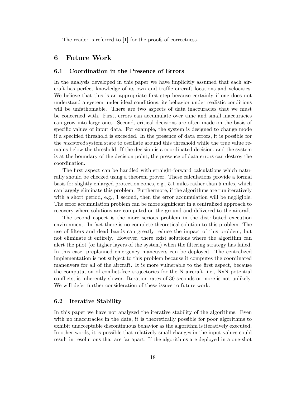The reader is referred to [1] for the proofs of correctness.

## 6 Future Work

#### 6.1 Coordination in the Presence of Errors

In the analysis developed in this paper we have implicitly assumed that each aircraft has perfect knowledge of its own and traffic aircraft locations and velocities. We believe that this is an appropriate first step because certainly if one does not understand a system under ideal conditions, its behavior under realistic conditions will be unfathomable. There are two aspects of data inaccuracies that we must be concerned with. First, errors can accumulate over time and small inaccuracies can grow into large ones. Second, critical decisions are often made on the basis of specific values of input data. For example, the system is designed to change mode if a specified threshold is exceeded. In the presence of data errors, it is possible for the *measured* system state to oscillate around this threshold while the true value remains below the threshold. If the decision is a coordinated decision, and the system is at the boundary of the decision point, the presence of data errors can destroy the coordination.

The first aspect can be handled with straight-forward calculations which naturally should be checked using a theorem prover. These calculations provide a formal basis for slightly enlarged protection zones, e.g., 5.1 miles rather than 5 miles, which can largely eliminate this problem. Furthermore, if the algorithms are run iteratively with a short period, e.g., 1 second, then the error accumulation will be negligible. The error accumulation problem can be more significant in a centralized approach to recovery where solutions are computed on the ground and delivered to the aircraft.

The second aspect is the more serious problem in the distributed execution environment. In fact there is no complete theoretical solution to this problem. The use of filters and dead bands can greatly reduce the impact of this problem, but not eliminate it entirely. However, there exist solutions where the algorithm can alert the pilot (or higher layers of the system) when the filtering strategy has failed. In this case, preplanned emergency maneuvers can be deployed. The centralized implementation is not subject to this problem because it computes the coordinated maneuvers for all of the aircraft. It is more vulnerable to the first aspect, because the computation of conflict-free trajectories for the N aircraft, i.e., NxN potential conflicts, is inherently slower. Iteration rates of 30 seconds or more is not unlikely. We will defer further consideration of these issues to future work.

#### 6.2 Iterative Stability

In this paper we have not analyzed the iterative stability of the algorithms. Even with no inaccuracies in the data, it is theoretically possible for poor algorithms to exhibit unacceptable discontinuous behavior as the algorithm is iteratively executed. In other words, it is possible that relatively small changes in the input values could result in resolutions that are far apart. If the algorithms are deployed in a one-shot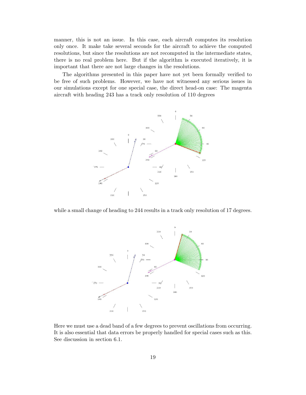manner, this is not an issue. In this case, each aircraft computes its resolution only once. It make take several seconds for the aircraft to achieve the computed resolutions, but since the resolutions are not recomputed in the intermediate states, there is no real problem here. But if the algorithm is executed iteratively, it is important that there are not large changes in the resolutions.

The algorithms presented in this paper have not yet been formally verified to be free of such problems. However, we have not witnessed any serious issues in our simulations except for one special case, the direct head-on case: The magenta aircraft with heading 243 has a track only resolution of 110 degrees



while a small change of heading to 244 results in a track only resolution of 17 degrees.



Here we must use a dead band of a few degrees to prevent oscillations from occurring. It is also essential that data errors be properly handled for special cases such as this. See discussion in section 6.1.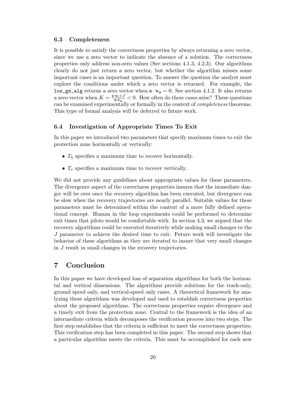#### 6.3 Completeness

It is possible to satisfy the correctness properties by always returning a zero vector, since we use a zero vector to indicate the absence of a solution. The correctness properties only address non-zero values (See sections 4.1.3, 4.2.3). Our algorithms clearly do not just return a zero vector, but whether the algorithm misses some important cases is an important question. To answer the question the analyst must explore the conditions under which a zero vector is returned. For example, the los\_gs\_alg returns a zero vector when  $\mathbf{s} \cdot \mathbf{v_0} = 0$ . See section 4.1.2. It also returns a zero vector when  $K = \frac{\mathbf{s} \cdot \mathbf{v_i} + J}{\mathbf{s} \cdot \mathbf{v_i}}$  $\frac{\mathbf{v}_i + J}{\mathbf{s} \cdot \mathbf{v}_o} < 0$ . How often do these cases arise? These questions can be examined experimentally or formally in the context of completeness theorems. This type of formal analysis will be deferred to future work.

#### 6.4 Investigation of Appropriate Times To Exit

In this paper we introduced two parameters that specify maximum times to exit the protection zone horizontally or vertically:

- $T_h$  specifies a maximum time to recover horizontally.
- $T_v$  specifies a maximum time to recover vertically.

We did not provide any guidelines about appropriate values for these parameters. The divergence aspect of the correctness properties insures that the immediate danger will be over once the recovery algorithm has been executed, but divergence can be slow when the recovery trajectories are nearly parallel. Suitable values for these parameters must be determined within the context of a more fully defined operational concept. Human in the loop experiments could be performed to determine exit times that pilots would be comfortable with. In section 4.3, we argued that the recovery algorithms could be executed iteratively while making small changes to the J parameter to achieve the desired time to exit. Future work will investigate the behavior of these algorithms as they are iterated to insure that very small changes in J result in small changes in the recovery trajectories.

## 7 Conclusion

In this paper we have developed loss of separation algorithms for both the horizontal and vertical dimensions. The algorithms provide solutions for the track-only, ground speed only, and vertical-speed only cases. A theoretical framework for analyzing these algorithms was developed and used to establish correctness properties about the proposed algorithms. The correctness properties require divergence and a timely exit from the protection zone. Central to the framework is the idea of an intermediate criteria which decomposes the verification process into two steps. The first step establishes that the criteria is sufficient to meet the correctness properties. This verification step has been completed in this paper. The second step shows that a particular algorithm meets the criteria. This must be accomplished for each new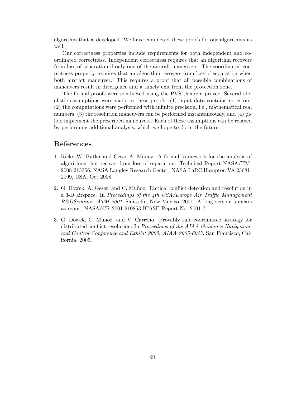algorithm that is developed. We have completed these proofs for our algorithms as well.

Our correctness properties include requirements for both independent and coordinated correctness. Independent correctness requires that an algorithm recovers from loss of separation if only one of the aircraft maneuvers. The coordinated correctness property requires that an algorithm recovers from loss of separation when both aircraft maneuver. This requires a proof that all possible combinations of maneuvers result in divergence and a timely exit from the protection zone.

The formal proofs were conducted using the PVS theorem prover. Several idealistic assumptions were made in these proofs: (1) input data contains no errors, (2) the computations were performed with infinite precision, i.e., mathematical real numbers, (3) the resolution maneuvers can be performed instantaneously, and (4) pilots implement the prescribed maneuvers. Each of these assumptions can be relaxed by performing additional analysis, which we hope to do in the future.

## References

- 1. Ricky W. Butler and Cesar A. Muñoz. A formal framework for the analysis of algorithms that recover from loss of separation. Technical Report NASA/TM-2008-215356, NASA Langley Research Center, NASA LaRC,Hampton VA 23681- 2199, USA, Oct 2008.
- 2. G. Dowek, A. Geser, and C. Muñoz. Tactical conflict detection and resolution in a 3-D airspace. In Proceedings of the 4th USA/Europe Air Traffic Management R&DSeminar, ATM 2001, Santa Fe, New Mexico, 2001. A long version appears as report NASA/CR-2001-210853 ICASE Report No. 2001-7.
- 3. G. Dowek, C. Muñoz, and V. Carreño. Provably safe coordinated strategy for distributed conflict resolution. In *Proceedings of the AIAA Guidance Navigation*, and Control Conference and Exhibit 2005, AIAA-2005-6047, San Francisco, California, 2005.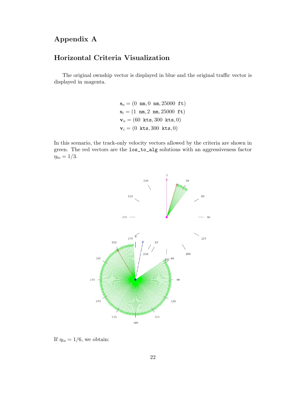# Appendix A

# Horizontal Criteria Visualization

The original ownship vector is displayed in blue and the original traffic vector is displayed in magenta.

> $s_o = (0 \text{ nm}, 0 \text{ nm}, 25000 \text{ ft})$  $s_i = (1 \text{ nm}, 2 \text{ nm}, 25000 \text{ ft})$  $v_o = (60 \text{ kts}, 300 \text{ kts}, 0)$  $v_i = (0 \text{ kts}, 300 \text{ kts}, 0)$

In this scenario, the track-only velocity vectors allowed by the criteria are shown in green. The red vectors are the los\_to\_alg solutions with an aggressiveness factor  $\eta_{to} = 1/3.$ 



If  $\eta_{to} = 1/6$ , we obtain: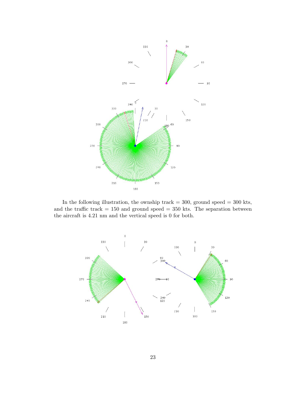

In the following illustration, the ownship track  $=$  300, ground speed  $=$  300 kts, and the traffic track  $= 150$  and ground speed  $= 350$  kts. The separation between the aircraft is 4.21 nm and the vertical speed is 0 for both.

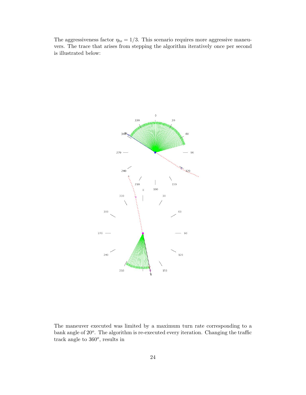The aggressiveness factor  $\eta_{to} = 1/3$ . This scenario requires more aggressive maneuvers. The trace that arises from stepping the algorithm iteratively once per second is illustrated below:



The maneuver executed was limited by a maximum turn rate corresponding to a bank angle of 20<sup>o</sup>. The algorithm is re-executed every iteration. Changing the traffic track angle to  $360^{\circ}$ , results in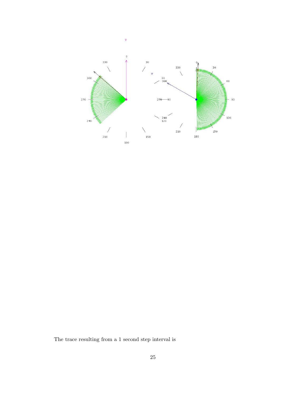

The trace resulting from a 1 second step interval is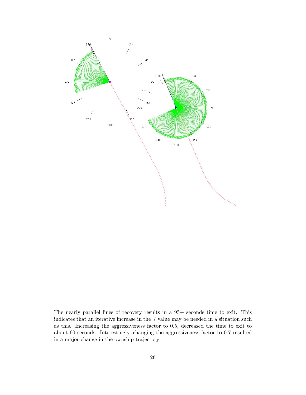

The nearly parallel lines of recovery results in a 95+ seconds time to exit. This indicates that an iterative increase in the  $J$  value may be needed in a situation such as this. Increasing the aggressiveness factor to 0.5, decreased the time to exit to about 60 seconds. Interestingly, changing the aggressiveness factor to 0.7 resulted in a major change in the ownship trajectory: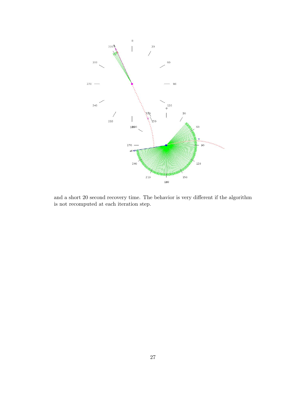

and a short 20 second recovery time. The behavior is very different if the algorithm is not recomputed at each iteration step.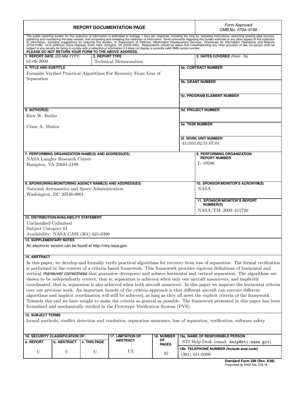|                                                                                                                                                                                                                                                                                                                                                                                                                                                                                                                                                                                                                                                                                                                                                                                                                                                                                                                                                                                                                                                                                                                                     |                                                | <b>REPORT DOCUMENTATION PAGE</b>                            | Form Approved<br>OMB No. 0704-0188                               |              |                            |                                                                                                     |  |  |  |  |
|-------------------------------------------------------------------------------------------------------------------------------------------------------------------------------------------------------------------------------------------------------------------------------------------------------------------------------------------------------------------------------------------------------------------------------------------------------------------------------------------------------------------------------------------------------------------------------------------------------------------------------------------------------------------------------------------------------------------------------------------------------------------------------------------------------------------------------------------------------------------------------------------------------------------------------------------------------------------------------------------------------------------------------------------------------------------------------------------------------------------------------------|------------------------------------------------|-------------------------------------------------------------|------------------------------------------------------------------|--------------|----------------------------|-----------------------------------------------------------------------------------------------------|--|--|--|--|
| The public reporting burden for this collection of information is estimated to average 1 hour per response, including the time for reviewing instructions, searching existing data sources, gathering and maintaining the data<br>PLEASE DO NOT RETURN YOUR FORM TO THE ABOVE ADDRESS.                                                                                                                                                                                                                                                                                                                                                                                                                                                                                                                                                                                                                                                                                                                                                                                                                                              |                                                |                                                             |                                                                  |              |                            |                                                                                                     |  |  |  |  |
| 1. REPORT DATE (DD-MM-YYYY)<br>01-06-2009                                                                                                                                                                                                                                                                                                                                                                                                                                                                                                                                                                                                                                                                                                                                                                                                                                                                                                                                                                                                                                                                                           |                                                | 2. REPORT TYPE                                              | Technical Memorandum                                             |              |                            | 3. DATES COVERED (From - To)                                                                        |  |  |  |  |
| <b>4. TITLE AND SUBTITLE</b>                                                                                                                                                                                                                                                                                                                                                                                                                                                                                                                                                                                                                                                                                                                                                                                                                                                                                                                                                                                                                                                                                                        |                                                |                                                             |                                                                  |              | <b>5a. CONTRACT NUMBER</b> |                                                                                                     |  |  |  |  |
|                                                                                                                                                                                                                                                                                                                                                                                                                                                                                                                                                                                                                                                                                                                                                                                                                                                                                                                                                                                                                                                                                                                                     |                                                |                                                             | Formally Verified Practical Algorithms For Recovery From Loss of |              |                            |                                                                                                     |  |  |  |  |
|                                                                                                                                                                                                                                                                                                                                                                                                                                                                                                                                                                                                                                                                                                                                                                                                                                                                                                                                                                                                                                                                                                                                     | Separation                                     |                                                             |                                                                  |              |                            | <b>5b. GRANT NUMBER</b>                                                                             |  |  |  |  |
|                                                                                                                                                                                                                                                                                                                                                                                                                                                                                                                                                                                                                                                                                                                                                                                                                                                                                                                                                                                                                                                                                                                                     |                                                |                                                             |                                                                  |              |                            | <b>5c. PROGRAM ELEMENT NUMBER</b>                                                                   |  |  |  |  |
| 6. AUTHOR(S)                                                                                                                                                                                                                                                                                                                                                                                                                                                                                                                                                                                                                                                                                                                                                                                                                                                                                                                                                                                                                                                                                                                        |                                                |                                                             |                                                                  |              | 5d. PROJECT NUMBER         |                                                                                                     |  |  |  |  |
| Rick W. Butler                                                                                                                                                                                                                                                                                                                                                                                                                                                                                                                                                                                                                                                                                                                                                                                                                                                                                                                                                                                                                                                                                                                      |                                                |                                                             |                                                                  |              |                            |                                                                                                     |  |  |  |  |
| César A. Muñoz                                                                                                                                                                                                                                                                                                                                                                                                                                                                                                                                                                                                                                                                                                                                                                                                                                                                                                                                                                                                                                                                                                                      |                                                |                                                             |                                                                  |              | <b>5e. TASK NUMBER</b>     |                                                                                                     |  |  |  |  |
|                                                                                                                                                                                                                                                                                                                                                                                                                                                                                                                                                                                                                                                                                                                                                                                                                                                                                                                                                                                                                                                                                                                                     |                                                |                                                             |                                                                  |              |                            | 5f. WORK UNIT NUMBER<br>411931.02.51.07.01                                                          |  |  |  |  |
| 7. PERFORMING ORGANIZATION NAME(S) AND ADDRESS(ES)<br>NASA Langley Research Center<br>Hampton, VA 23681-2199                                                                                                                                                                                                                                                                                                                                                                                                                                                                                                                                                                                                                                                                                                                                                                                                                                                                                                                                                                                                                        |                                                |                                                             |                                                                  |              |                            | 8. PERFORMING ORGANIZATION<br><b>REPORT NUMBER</b><br>$L = 19586$                                   |  |  |  |  |
| 9. SPONSORING/MONITORING AGENCY NAME(S) AND ADDRESS(ES)<br>National Aeronautics and Space Administration<br>Washington, DC 20546-0001                                                                                                                                                                                                                                                                                                                                                                                                                                                                                                                                                                                                                                                                                                                                                                                                                                                                                                                                                                                               |                                                |                                                             |                                                                  |              |                            | 10. SPONSOR/MONITOR'S ACRONYM(S)<br>NASA<br><b>11. SPONSOR/MONITOR'S REPORT</b><br><b>NUMBER(S)</b> |  |  |  |  |
|                                                                                                                                                                                                                                                                                                                                                                                                                                                                                                                                                                                                                                                                                                                                                                                                                                                                                                                                                                                                                                                                                                                                     |                                                |                                                             |                                                                  |              |                            | NASA/TM-2009-215726                                                                                 |  |  |  |  |
| Unclassified-Unlimited                                                                                                                                                                                                                                                                                                                                                                                                                                                                                                                                                                                                                                                                                                                                                                                                                                                                                                                                                                                                                                                                                                              | <b>12. DISTRIBUTION/AVAILABILITY STATEMENT</b> |                                                             |                                                                  |              |                            |                                                                                                     |  |  |  |  |
| Subject Category 61                                                                                                                                                                                                                                                                                                                                                                                                                                                                                                                                                                                                                                                                                                                                                                                                                                                                                                                                                                                                                                                                                                                 |                                                |                                                             |                                                                  |              |                            |                                                                                                     |  |  |  |  |
|                                                                                                                                                                                                                                                                                                                                                                                                                                                                                                                                                                                                                                                                                                                                                                                                                                                                                                                                                                                                                                                                                                                                     |                                                | Availability: NASA CASI (301) 621-0390                      |                                                                  |              |                            |                                                                                                     |  |  |  |  |
| <b>13. SUPPLEMENTARY NOTES</b>                                                                                                                                                                                                                                                                                                                                                                                                                                                                                                                                                                                                                                                                                                                                                                                                                                                                                                                                                                                                                                                                                                      |                                                | An electronic version can be found at http://ntrs.nasa.gov. |                                                                  |              |                            |                                                                                                     |  |  |  |  |
| 14. ABSTRACT                                                                                                                                                                                                                                                                                                                                                                                                                                                                                                                                                                                                                                                                                                                                                                                                                                                                                                                                                                                                                                                                                                                        |                                                |                                                             |                                                                  |              |                            |                                                                                                     |  |  |  |  |
| In this paper, we develop and formally verify practical algorithms for recovery from loss of separation. The formal verification<br>is performed in the context of a criteria-based framework. This framework provides rigorous definitions of horizontal and<br>vertical maneuver correctness that guarantee divergence and achieve horizontal and vertical separation. The algorithms are<br>shown to be independently correct, that is, separation is achieved when only one aircraft maneuvers, and implicitly<br>coordinated, that is, separation is also achieved when both aircraft maneuver. In this paper we improve the horizontal criteria<br>over our previous work. An important benefit of the criteria approach is that different aircraft can execute different<br>algorithms and implicit coordination will still be achieved, as long as they all meet the explicit criteria of the framework.<br>Towards this end we have sought to make the criteria as general as possible. The framework presented in this paper has been<br>formalized and mechanically verified in the Prototype Verification System (PVS). |                                                |                                                             |                                                                  |              |                            |                                                                                                     |  |  |  |  |
| <b>15. SUBJECT TERMS</b>                                                                                                                                                                                                                                                                                                                                                                                                                                                                                                                                                                                                                                                                                                                                                                                                                                                                                                                                                                                                                                                                                                            |                                                |                                                             |                                                                  |              |                            |                                                                                                     |  |  |  |  |
| formal methods, conflict detection and resolution, separation assurance, loss of separation, verification, software safety                                                                                                                                                                                                                                                                                                                                                                                                                                                                                                                                                                                                                                                                                                                                                                                                                                                                                                                                                                                                          |                                                |                                                             |                                                                  |              |                            |                                                                                                     |  |  |  |  |
| 16. SECURITY CLASSIFICATION OF:<br><b>18. NUMBER</b><br>19a. NAME OF RESPONSIBLE PERSON<br><b>17. LIMITATION OF</b><br>ОF<br><b>ABSTRACT</b>                                                                                                                                                                                                                                                                                                                                                                                                                                                                                                                                                                                                                                                                                                                                                                                                                                                                                                                                                                                        |                                                |                                                             |                                                                  |              |                            |                                                                                                     |  |  |  |  |
| a. REPORT                                                                                                                                                                                                                                                                                                                                                                                                                                                                                                                                                                                                                                                                                                                                                                                                                                                                                                                                                                                                                                                                                                                           | <b>b. ABSTRACT</b>                             | c. THIS PAGE                                                |                                                                  | <b>PAGES</b> |                            | STI Help Desk (email: help@sti.nasa.gov)                                                            |  |  |  |  |
| $\ensuremath{\mathrm{U}}$                                                                                                                                                                                                                                                                                                                                                                                                                                                                                                                                                                                                                                                                                                                                                                                                                                                                                                                                                                                                                                                                                                           | U                                              | U                                                           | UU                                                               | 45           |                            | 19b. TELEPHONE NUMBER (Include area code)<br>$(301)$ 621-0390                                       |  |  |  |  |

┛